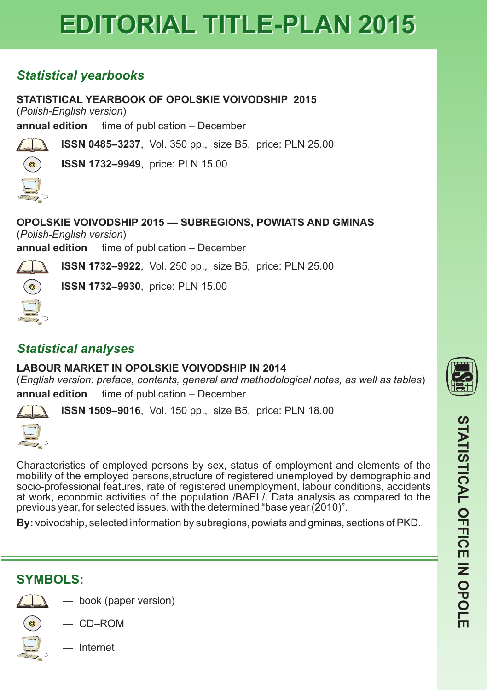## *Statistical yearbooks*

### **STATISTICAL YEARBOOK OF OPOLSKIE VOIVODSHIP 2015**

(*Polish-English version*)

**annual edition** time of publication – December

**ISSN 0485–3237**, Vol. 350 pp., size B5, price: PLN 25.00

**ISSN 1732–9949**, price: PLN 15.00



**OPOLSKIE VOIVODSHIP 2015 — SUBREGIONS, POWIATS AND GMINAS**

(*Polish-English version*)

**annual edition** time of publication – December

**ISSN 1732–9922**, Vol. 250 pp., size B5, price: PLN 25.00



**ISSN 1732–9930**, price: PLN 15.00

## *Statistical analyses*

### **LABOUR MARKET IN OPOLSKIE VOIVODSHIP IN 2014**

(*English version: preface, contents, general and methodological notes, as well as tables*) **annual edition** time of publication – December



**ISSN 1509–9016**, Vol. 150 pp., size B5, price: PLN 18.00



Characteristics of employed persons by sex, status of employment and elements of the mobility of the employed persons,structure of registered unemployed by demographic and socio-professional features, rate of registered unemployment, labour conditions, accidents at work, economic activities of the population /BAEL/. Data analysis as compared to the previous year, for selected issues, with the determined "base year (2010)".

**By:** voivodship, selected information by subregions, powiats and gminas, sections of PKD.

# **SYMBOLS:**

— book (paper version)

— Internet — CD–ROM



<u>ርስ</u>

**TATIS**

**TIC A L O F FIC E IN O P**

**O L E**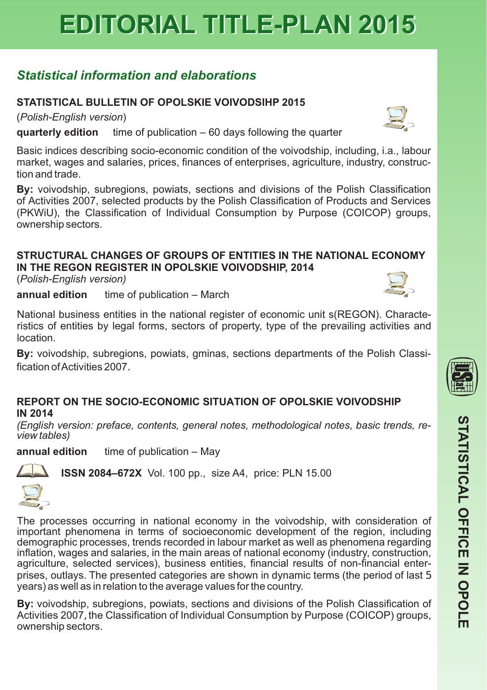## *Statistical information and elaborations*

#### STATISTICAL BULLETIN OF OPOLSKIE VOIVODSIHP 2015

(*Polish-English version*)

**quarterly edition** time of publication – 60 days following the quarter

Basic indices describing socio-economic condition of the voivodship, including, i.a., labour market, wages and salaries, prices, finances of enterprises, agriculture, industry, construction and trade.

**By:** voivodship, subregions, powiats, sections and divisions of the Polish Classification of Activities 2007, selected products by the Polish Classification of Products and Services (PKWiU), the Classification of Individual Consumption by Purpose (COICOP) groups, ownership sectors.

### **STRUCTURAL CHANGES OF GROUPS OF ENTITIES IN THE NATIONAL ECONOMY IN THE REGON REGISTER IN OPOLSKIE VOIVODSHIP, 2014**  $\square$

(*Polish-English version)*

**annual edition** time of publication – March

National business entities in the national register of economic unit s(REGON). Characteristics of entities by legal forms, sectors of property, type of the prevailing activities and location.

**By:** voivodship, subregions, powiats, gminas, sections departments of the Polish Classification of Activities 2007.

#### **REPORT ON THE SOCIO-ECONOMIC SITUATION OF OPOLSKIE VOIVODSHIP IN 2014**

*(English version: preface, contents, general notes, methodological notes, basic trends, review tables)*

**annual edition** time of publication – May

**ISSN 2084–672X** Vol. 100 pp., size A4, price: PLN 15.00

**By:** voivodship, subregions, powiats, sections and divisions of the Polish Classification of Activities 2007, the Classification of Individual Consumption by Purpose (COICOP) groups, ownership sectors. agriculture, selected services), business entities, financial results of non-financial enterprises, outlays. The presented categories are shown in dynamic terms (the period of last 5 years) as well as in relation to the average values for the country.

The processes occurring in national economy in the voivodship, with consideration of important phenomena in terms of socioeconomic development of the region, including demographic processes, trends recorded in labour market as well as phenomena regarding inflation, wages and salaries, in the main areas of national economy (industry, construction,







**O F FIC E IN O P**

**O L E**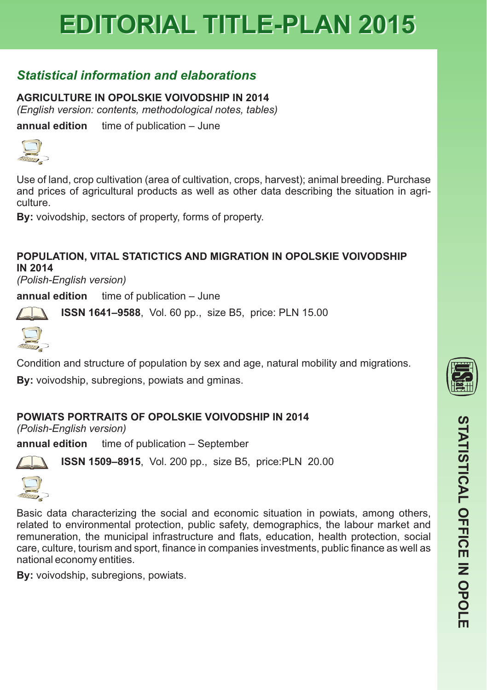## *Statistical information and elaborations*

## **2014 AGRICULTURE IN OPOLSKIE VOIVODSHIP IN**

*( English version: contents, methodological notes, tables)*

**annual edition** time of publication – June



Use of land, crop cultivation (area of cultivation, crops, harvest); animal breeding. Purchase and prices of agricultural products as well as other data describing the situation in agriculture.

**By:** voivodship, sectors of property, forms of property.

## **POPULATION, VITAL STATICTICS AND MIGRATION IN OPOLSKIE VOIVODSHIP**

*(Polish-English version)* **IN 2014**

**annual edition** time of publication – June

**ISSN 1641–9588**, Vol. 60 pp., size B5, price: PLN 15.00



Condition and structure of population by sex and age, natural mobility and migrations.

**By:** voivodship, subregions, powiats and gminas.

#### **POWIATS PORTRAITS OF OPOLSKIE VOIVODSHIP IN 2014**

*(Polish-English version)*

**annual edition** time of publication – September



**ISSN 1509–8915**, Vol. 200 pp., size B5, price:PLN 20.00



Basic data characterizing the social and economic situation in powiats, among others, related to environmental protection, public safety, demographics, the labour market and remuneration, the municipal infrastructure and flats, education, health protection, social care, culture, tourism and sport, finance in companies investments, public finance as well as national economy entities.

**By:** voivodship, subregions, powiats.



<u>ርስ</u>